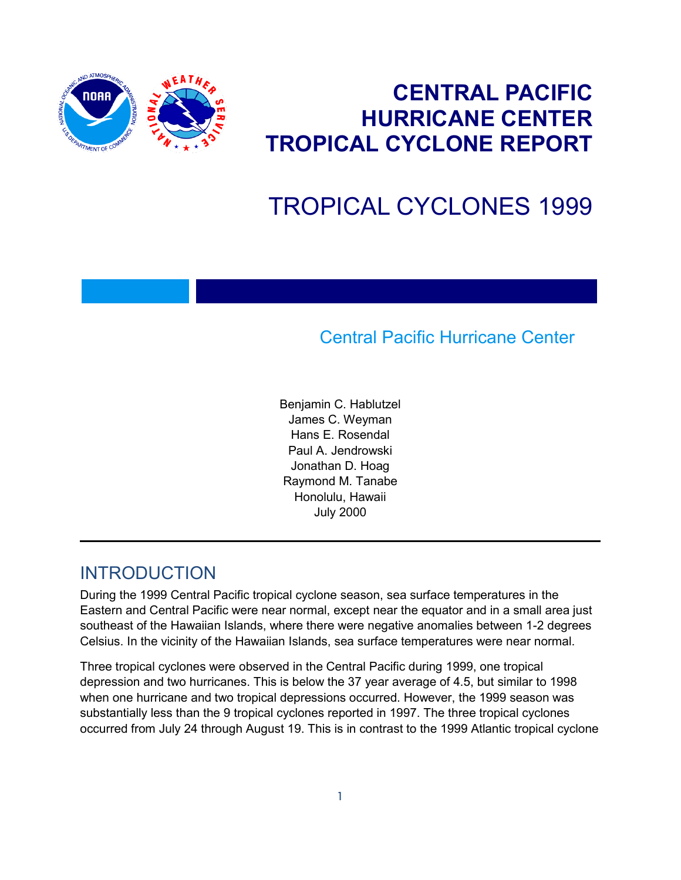

## **CENTRAL PACIFIC HURRICANE CENTER TROPICAL CYCLONE REPORT**

# TROPICAL CYCLONES 1999

### Central Pacific Hurricane Center

Benjamin C. Hablutzel James C. Weyman Hans E. Rosendal Paul A. Jendrowski Jonathan D. Hoag Raymond M. Tanabe Honolulu, Hawaii July 2000

#### INTRODUCTION

During the 1999 Central Pacific tropical cyclone season, sea surface temperatures in the Eastern and Central Pacific were near normal, except near the equator and in a small area just southeast of the Hawaiian Islands, where there were negative anomalies between 1-2 degrees Celsius. In the vicinity of the Hawaiian Islands, sea surface temperatures were near normal.

Three tropical cyclones were observed in the Central Pacific during 1999, one tropical depression and two hurricanes. This is below the 37 year average of 4.5, but similar to 1998 when one hurricane and two tropical depressions occurred. However, the 1999 season was substantially less than the 9 tropical cyclones reported in 1997. The three tropical cyclones occurred from July 24 through August 19. This is in contrast to the 1999 Atlantic tropical cyclone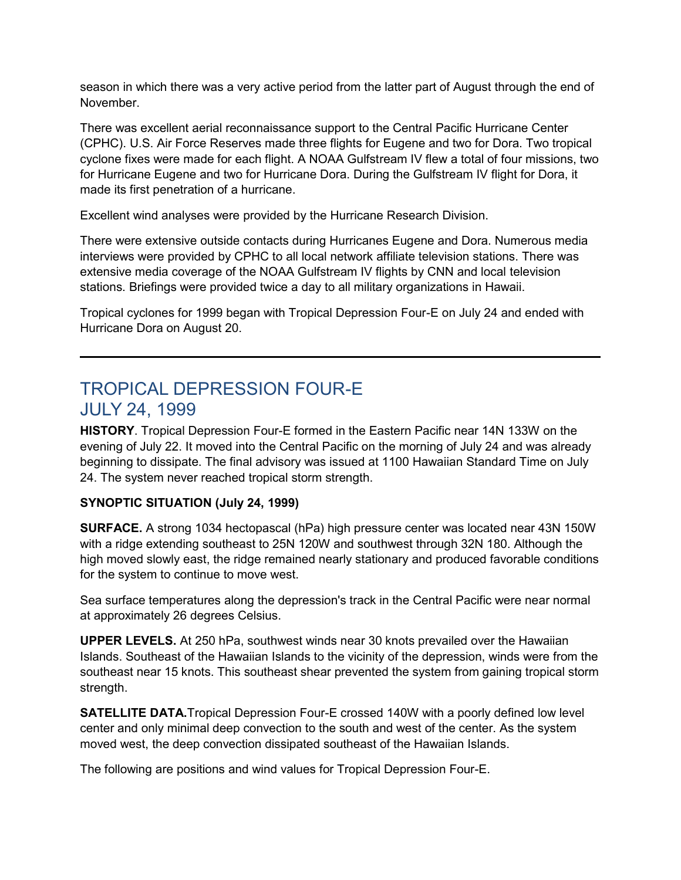season in which there was a very active period from the latter part of August through the end of November.

There was excellent aerial reconnaissance support to the Central Pacific Hurricane Center (CPHC). U.S. Air Force Reserves made three flights for Eugene and two for Dora. Two tropical cyclone fixes were made for each flight. A NOAA Gulfstream IV flew a total of four missions, two for Hurricane Eugene and two for Hurricane Dora. During the Gulfstream IV flight for Dora, it made its first penetration of a hurricane.

Excellent wind analyses were provided by the Hurricane Research Division.

There were extensive outside contacts during Hurricanes Eugene and Dora. Numerous media interviews were provided by CPHC to all local network affiliate television stations. There was extensive media coverage of the NOAA Gulfstream IV flights by CNN and local television stations. Briefings were provided twice a day to all military organizations in Hawaii.

Tropical cyclones for 1999 began with Tropical Depression Four-E on July 24 and ended with Hurricane Dora on August 20.

### TROPICAL DEPRESSION FOUR-E JULY 24, 1999

**HISTORY**. Tropical Depression Four-E formed in the Eastern Pacific near 14N 133W on the evening of July 22. It moved into the Central Pacific on the morning of July 24 and was already beginning to dissipate. The final advisory was issued at 1100 Hawaiian Standard Time on July 24. The system never reached tropical storm strength.

#### **SYNOPTIC SITUATION (July 24, 1999)**

**SURFACE.** A strong 1034 hectopascal (hPa) high pressure center was located near 43N 150W with a ridge extending southeast to 25N 120W and southwest through 32N 180. Although the high moved slowly east, the ridge remained nearly stationary and produced favorable conditions for the system to continue to move west.

Sea surface temperatures along the depression's track in the Central Pacific were near normal at approximately 26 degrees Celsius.

**UPPER LEVELS.** At 250 hPa, southwest winds near 30 knots prevailed over the Hawaiian Islands. Southeast of the Hawaiian Islands to the vicinity of the depression, winds were from the southeast near 15 knots. This southeast shear prevented the system from gaining tropical storm strength.

**SATELLITE DATA.**Tropical Depression Four-E crossed 140W with a poorly defined low level center and only minimal deep convection to the south and west of the center. As the system moved west, the deep convection dissipated southeast of the Hawaiian Islands.

The following are positions and wind values for Tropical Depression Four-E.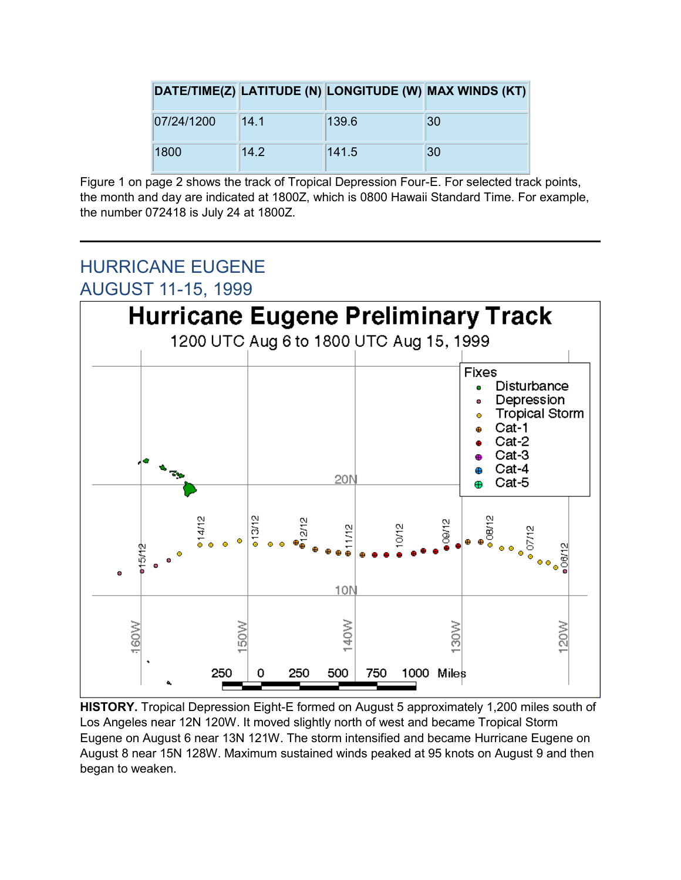|            |      |       | DATE/TIME(Z) LATITUDE (N) LONGITUDE (W) MAX WINDS (KT) |
|------------|------|-------|--------------------------------------------------------|
| 07/24/1200 | 14.1 | 139.6 | 30                                                     |
| 1800       | 14.2 | 141.5 | 30                                                     |

Figure 1 on page 2 shows the track of Tropical Depression Four-E. For selected track points, the month and day are indicated at 1800Z, which is 0800 Hawaii Standard Time. For example, the number 072418 is July 24 at 1800Z.

### HURRICANE EUGENE AUGUST 11-15, 1999



**HISTORY.** Tropical Depression Eight-E formed on August 5 approximately 1,200 miles south of Los Angeles near 12N 120W. It moved slightly north of west and became Tropical Storm Eugene on August 6 near 13N 121W. The storm intensified and became Hurricane Eugene on August 8 near 15N 128W. Maximum sustained winds peaked at 95 knots on August 9 and then began to weaken.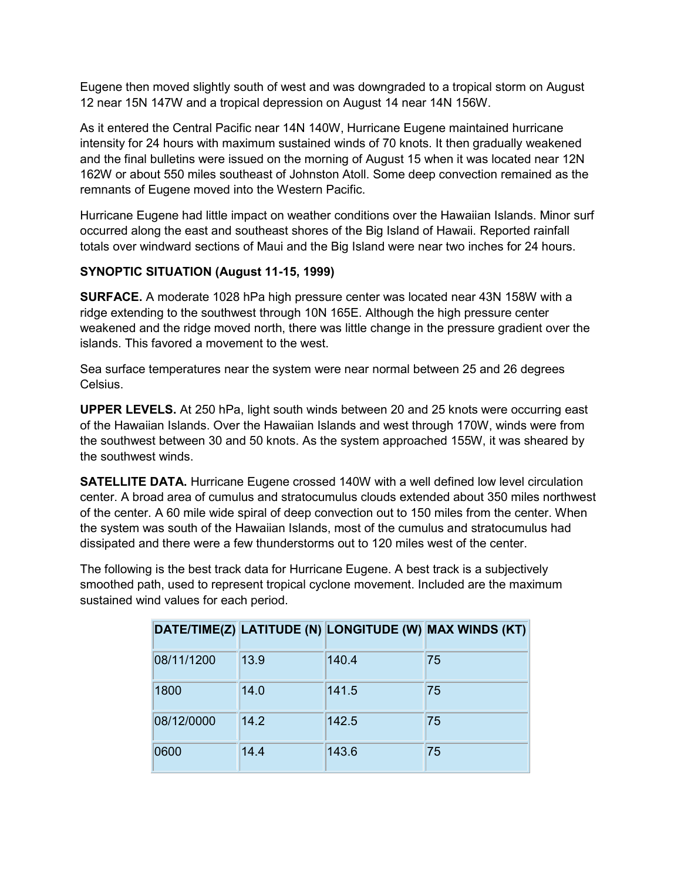Eugene then moved slightly south of west and was downgraded to a tropical storm on August 12 near 15N 147W and a tropical depression on August 14 near 14N 156W.

As it entered the Central Pacific near 14N 140W, Hurricane Eugene maintained hurricane intensity for 24 hours with maximum sustained winds of 70 knots. It then gradually weakened and the final bulletins were issued on the morning of August 15 when it was located near 12N 162W or about 550 miles southeast of Johnston Atoll. Some deep convection remained as the remnants of Eugene moved into the Western Pacific.

Hurricane Eugene had little impact on weather conditions over the Hawaiian Islands. Minor surf occurred along the east and southeast shores of the Big Island of Hawaii. Reported rainfall totals over windward sections of Maui and the Big Island were near two inches for 24 hours.

#### **SYNOPTIC SITUATION (August 11-15, 1999)**

**SURFACE.** A moderate 1028 hPa high pressure center was located near 43N 158W with a ridge extending to the southwest through 10N 165E. Although the high pressure center weakened and the ridge moved north, there was little change in the pressure gradient over the islands. This favored a movement to the west.

Sea surface temperatures near the system were near normal between 25 and 26 degrees Celsius.

**UPPER LEVELS.** At 250 hPa, light south winds between 20 and 25 knots were occurring east of the Hawaiian Islands. Over the Hawaiian Islands and west through 170W, winds were from the southwest between 30 and 50 knots. As the system approached 155W, it was sheared by the southwest winds.

**SATELLITE DATA.** Hurricane Eugene crossed 140W with a well defined low level circulation center. A broad area of cumulus and stratocumulus clouds extended about 350 miles northwest of the center. A 60 mile wide spiral of deep convection out to 150 miles from the center. When the system was south of the Hawaiian Islands, most of the cumulus and stratocumulus had dissipated and there were a few thunderstorms out to 120 miles west of the center.

The following is the best track data for Hurricane Eugene. A best track is a subjectively smoothed path, used to represent tropical cyclone movement. Included are the maximum sustained wind values for each period.

|            |      |       | DATE/TIME(Z) LATITUDE (N) LONGITUDE (W) MAX WINDS (KT) |
|------------|------|-------|--------------------------------------------------------|
| 08/11/1200 | 13.9 | 140.4 | 75                                                     |
| 1800       | 14.0 | 141.5 | 75                                                     |
| 08/12/0000 | 14.2 | 142.5 | 75                                                     |
| 0600       | 14.4 | 143.6 | 75                                                     |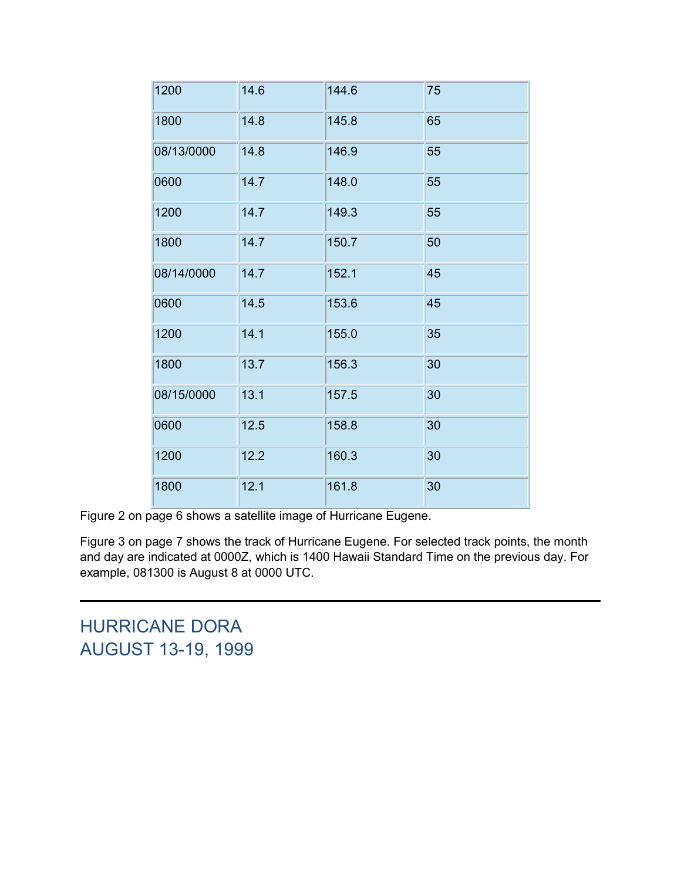| 1200       | 14.6 | 144.6 | 75 |
|------------|------|-------|----|
| 1800       | 14.8 | 145.8 | 65 |
| 08/13/0000 | 14.8 | 146.9 | 55 |
| 0600       | 14.7 | 148.0 | 55 |
| 1200       | 14.7 | 149.3 | 55 |
| 1800       | 14.7 | 150.7 | 50 |
| 08/14/0000 | 14.7 | 152.1 | 45 |
| 0600       | 14.5 | 153.6 | 45 |
| 1200       | 14.1 | 155.0 | 35 |
| 1800       | 13.7 | 156.3 | 30 |
| 08/15/0000 | 13.1 | 157.5 | 30 |
| 0600       | 12.5 | 158.8 | 30 |
| 1200       | 12.2 | 160.3 | 30 |
| 1800       | 12.1 | 161.8 | 30 |

Figure 2 on page 6 shows a satellite image of Hurricane Eugene.

Figure 3 on page 7 shows the track of Hurricane Eugene. For selected track points, the month and day are indicated at 0000Z, which is 1400 Hawaii Standard Time on the previous day. For example, 081300 is August 8 at 0000 UTC.

HURRICANE DORA AUGUST 13-19, 1999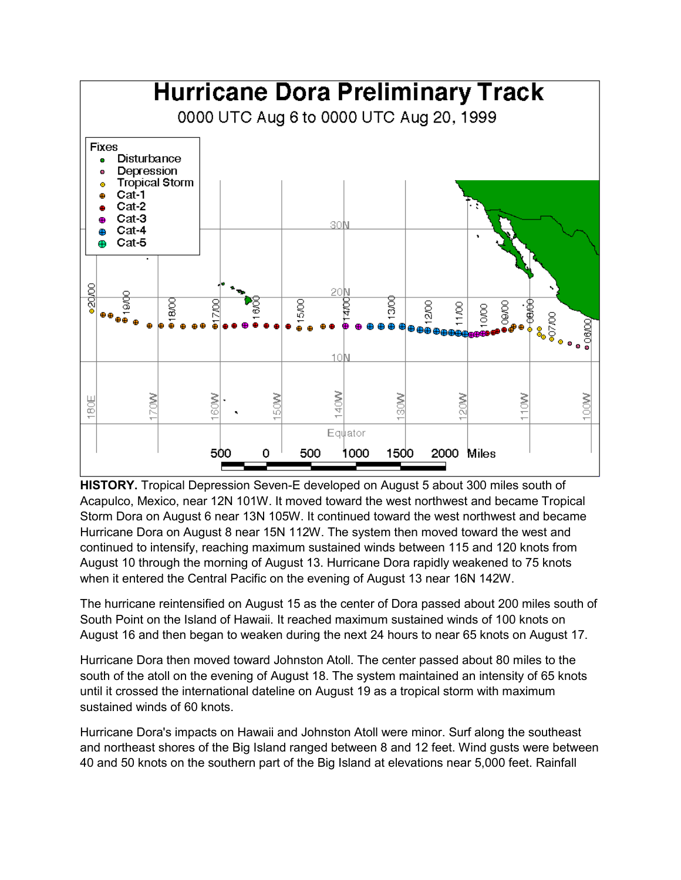

**HISTORY.** Tropical Depression Seven-E developed on August 5 about 300 miles south of Acapulco, Mexico, near 12N 101W. It moved toward the west northwest and became Tropical Storm Dora on August 6 near 13N 105W. It continued toward the west northwest and became Hurricane Dora on August 8 near 15N 112W. The system then moved toward the west and continued to intensify, reaching maximum sustained winds between 115 and 120 knots from August 10 through the morning of August 13. Hurricane Dora rapidly weakened to 75 knots when it entered the Central Pacific on the evening of August 13 near 16N 142W.

The hurricane reintensified on August 15 as the center of Dora passed about 200 miles south of South Point on the Island of Hawaii. It reached maximum sustained winds of 100 knots on August 16 and then began to weaken during the next 24 hours to near 65 knots on August 17.

Hurricane Dora then moved toward Johnston Atoll. The center passed about 80 miles to the south of the atoll on the evening of August 18. The system maintained an intensity of 65 knots until it crossed the international dateline on August 19 as a tropical storm with maximum sustained winds of 60 knots.

Hurricane Dora's impacts on Hawaii and Johnston Atoll were minor. Surf along the southeast and northeast shores of the Big Island ranged between 8 and 12 feet. Wind gusts were between 40 and 50 knots on the southern part of the Big Island at elevations near 5,000 feet. Rainfall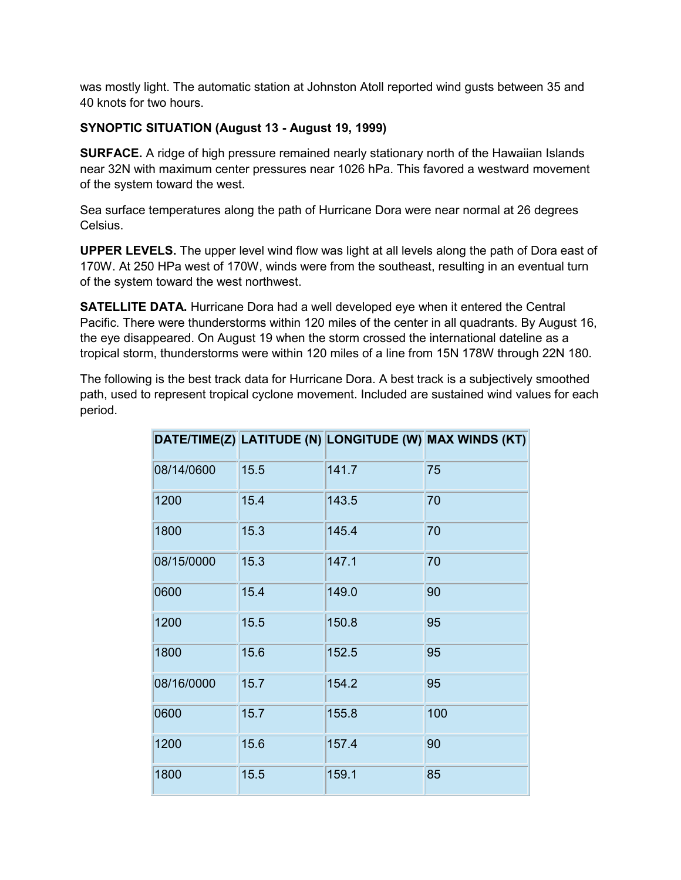was mostly light. The automatic station at Johnston Atoll reported wind gusts between 35 and 40 knots for two hours.

#### **SYNOPTIC SITUATION (August 13 - August 19, 1999)**

**SURFACE.** A ridge of high pressure remained nearly stationary north of the Hawaiian Islands near 32N with maximum center pressures near 1026 hPa. This favored a westward movement of the system toward the west.

Sea surface temperatures along the path of Hurricane Dora were near normal at 26 degrees Celsius.

**UPPER LEVELS.** The upper level wind flow was light at all levels along the path of Dora east of 170W. At 250 HPa west of 170W, winds were from the southeast, resulting in an eventual turn of the system toward the west northwest.

**SATELLITE DATA.** Hurricane Dora had a well developed eye when it entered the Central Pacific. There were thunderstorms within 120 miles of the center in all quadrants. By August 16, the eye disappeared. On August 19 when the storm crossed the international dateline as a tropical storm, thunderstorms were within 120 miles of a line from 15N 178W through 22N 180.

The following is the best track data for Hurricane Dora. A best track is a subjectively smoothed path, used to represent tropical cyclone movement. Included are sustained wind values for each period.

|            |      |       | DATE/TIME(Z) LATITUDE (N) LONGITUDE (W) MAX WINDS (KT) |
|------------|------|-------|--------------------------------------------------------|
| 08/14/0600 | 15.5 | 141.7 | 75                                                     |
| 1200       | 15.4 | 143.5 | 70                                                     |
| 1800       | 15.3 | 145.4 | 70                                                     |
| 08/15/0000 | 15.3 | 147.1 | 70                                                     |
| 0600       | 15.4 | 149.0 | 90                                                     |
| 1200       | 15.5 | 150.8 | 95                                                     |
| 1800       | 15.6 | 152.5 | 95                                                     |
| 08/16/0000 | 15.7 | 154.2 | 95                                                     |
| 0600       | 15.7 | 155.8 | 100                                                    |
| 1200       | 15.6 | 157.4 | 90                                                     |
| 1800       | 15.5 | 159.1 | 85                                                     |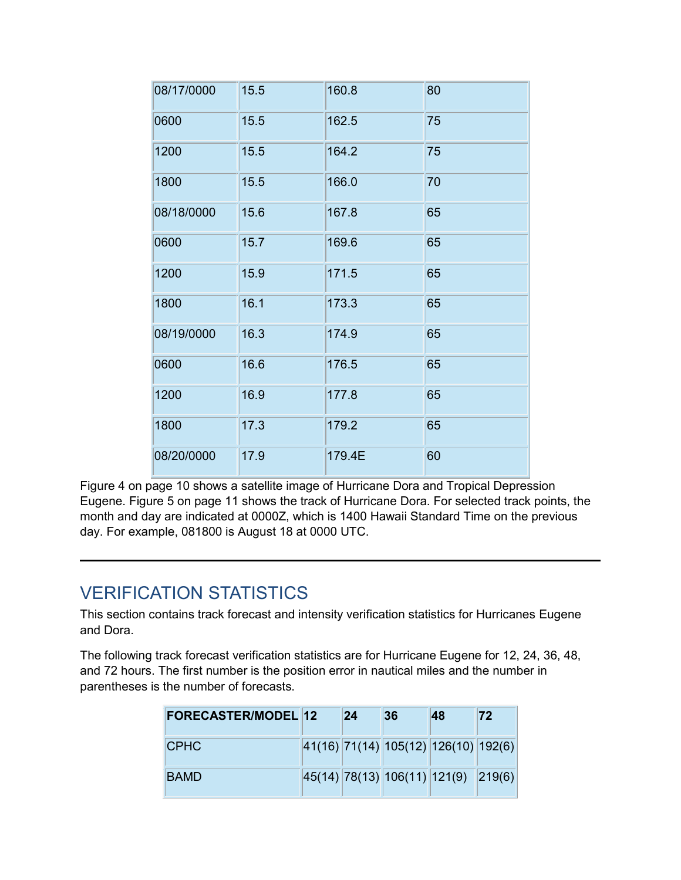| 08/17/0000 | 15.5 | 160.8  | 80 |
|------------|------|--------|----|
| 0600       | 15.5 | 162.5  | 75 |
| 1200       | 15.5 | 164.2  | 75 |
| 1800       | 15.5 | 166.0  | 70 |
| 08/18/0000 | 15.6 | 167.8  | 65 |
| 0600       | 15.7 | 169.6  | 65 |
| 1200       | 15.9 | 171.5  | 65 |
| 1800       | 16.1 | 173.3  | 65 |
| 08/19/0000 | 16.3 | 174.9  | 65 |
| 0600       | 16.6 | 176.5  | 65 |
| 1200       | 16.9 | 177.8  | 65 |
| 1800       | 17.3 | 179.2  | 65 |
| 08/20/0000 | 17.9 | 179.4E | 60 |

Figure 4 on page 10 shows a satellite image of Hurricane Dora and Tropical Depression Eugene. Figure 5 on page 11 shows the track of Hurricane Dora. For selected track points, the month and day are indicated at 0000Z, which is 1400 Hawaii Standard Time on the previous day. For example, 081800 is August 18 at 0000 UTC.

### VERIFICATION STATISTICS

This section contains track forecast and intensity verification statistics for Hurricanes Eugene and Dora.

The following track forecast verification statistics are for Hurricane Eugene for 12, 24, 36, 48, and 72 hours. The first number is the position error in nautical miles and the number in parentheses is the number of forecasts.

| <b>FORECASTER/MODEL 12</b> | 24 | 36                                       | 48 | 72 |
|----------------------------|----|------------------------------------------|----|----|
| <b>ICPHC</b>               |    | $ 41(16) 71(14) 105(12) 126(10) 192(6) $ |    |    |
| BAMD                       |    | 45(14) 78(13) 106(11) 121(9) 219(6)      |    |    |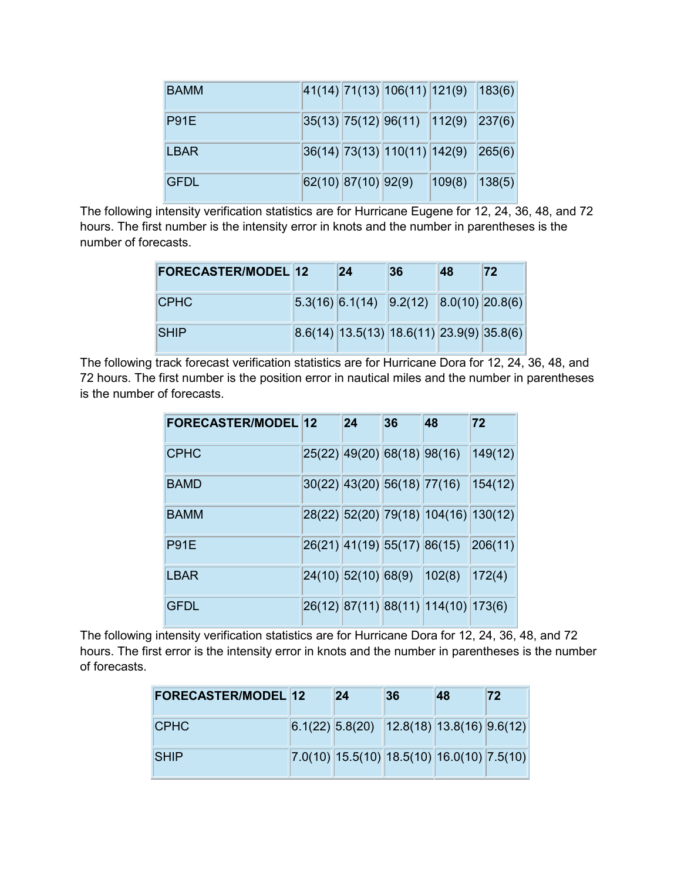| <b>BAMM</b>  |                     | 41(14) 71(13) 106(11) 121(9) 183(6) |        |        |
|--------------|---------------------|-------------------------------------|--------|--------|
| P91E         |                     | 35(13) 75(12) 96(11) 112(9) 237(6)  |        |        |
| <b>LBAR</b>  |                     | 36(14) 73(13) 110(11) 142(9) 265(6) |        |        |
| <b>IGFDL</b> | 62(10) 87(10) 92(9) |                                     | 109(8) | 138(5) |

The following intensity verification statistics are for Hurricane Eugene for 12, 24, 36, 48, and 72 hours. The first number is the intensity error in knots and the number in parentheses is the number of forecasts.

| <b>FORECASTER/MODEL 12</b> | 24                                                                            | 36 | 48 | 72 |
|----------------------------|-------------------------------------------------------------------------------|----|----|----|
| <b>CPHC</b>                | $\vert 5.3(16) \vert 6.1(14) \vert 9.2(12) \vert 8.0(10) \vert 20.8(6) \vert$ |    |    |    |
| <b>SHIP</b>                | $ 8.6(14) 13.5(13) 18.6(11) 23.9(9) 35.8(6) $                                 |    |    |    |

The following track forecast verification statistics are for Hurricane Dora for 12, 24, 36, 48, and 72 hours. The first number is the position error in nautical miles and the number in parentheses is the number of forecasts.

| <b>FORECASTER/MODEL 12</b> | 24                            | 36 | 48                                       | 72      |
|----------------------------|-------------------------------|----|------------------------------------------|---------|
| <b>CPHC</b>                | $25(22)$ 49(20) 68(18) 98(16) |    |                                          | 149(12) |
| <b>BAMD</b>                | 30(22) 43(20) 56(18) 77(16)   |    |                                          | 154(12) |
| <b>BAMM</b>                |                               |    | $ 28(22) 52(20) 79(18) 104(16) 130(12) $ |         |
| P91E                       |                               |    | 26(21) 41(19) 55(17) 86(15) 206(11)      |         |
| LBAR                       |                               |    | 24(10) 52(10) 68(9) 102(8) 172(4)        |         |
| <b>GFDL</b>                |                               |    | 26(12) 87(11) 88(11) 114(10) 173(6)      |         |

The following intensity verification statistics are for Hurricane Dora for 12, 24, 36, 48, and 72 hours. The first error is the intensity error in knots and the number in parentheses is the number of forecasts.

| <b>FORECASTER/MODEL 12</b> | 24                                           | 36 | <b>48</b> | 72 |
|----------------------------|----------------------------------------------|----|-----------|----|
| <b>CPHC</b>                | $6.1(22)$ 5.8(20) 12.8(18) 13.8(16) 9.6(12)  |    |           |    |
| <b>SHIP</b>                | $7.0(10)$ 15.5(10) 18.5(10) 16.0(10) 7.5(10) |    |           |    |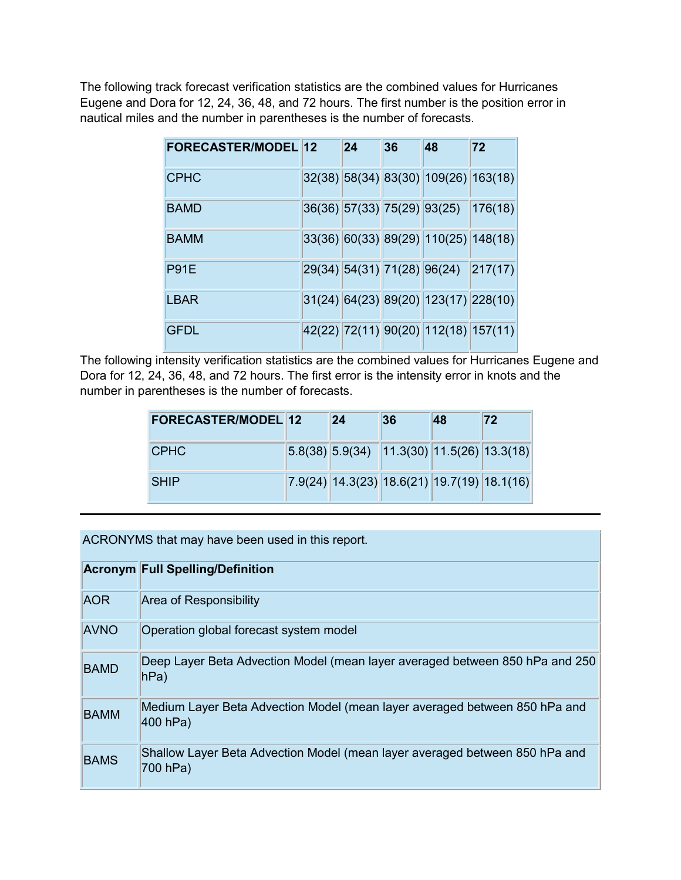The following track forecast verification statistics are the combined values for Hurricanes Eugene and Dora for 12, 24, 36, 48, and 72 hours. The first number is the position error in nautical miles and the number in parentheses is the number of forecasts.

| <b>FORECASTER/MODEL 12</b> | 24 | 36 | 48                                       | 72 |
|----------------------------|----|----|------------------------------------------|----|
| <b>CPHC</b>                |    |    | 32(38) 58(34) 83(30) 109(26) 163(18)     |    |
| <b>BAMD</b>                |    |    | 36(36) 57(33) 75(29) 93(25) 176(18)      |    |
| <b>BAMM</b>                |    |    | $33(36)$ 60(33) 89(29) 110(25) 148(18)   |    |
| P91E                       |    |    | 29(34) 54(31) 71(28) 96(24) 217(17)      |    |
| LBAR                       |    |    | $31(24)$ 64(23) 89(20) 123(17) 228(10)   |    |
| <b>GFDL</b>                |    |    | 42(22)  72(11)  90(20)  112(18)  157(11) |    |

The following intensity verification statistics are the combined values for Hurricanes Eugene and Dora for 12, 24, 36, 48, and 72 hours. The first error is the intensity error in knots and the number in parentheses is the number of forecasts.

| <b>FORECASTER/MODEL 12</b> | 24 | 36 | 48 | 72                                                                               |
|----------------------------|----|----|----|----------------------------------------------------------------------------------|
| <b>ICPHC</b>               |    |    |    | $\vert 5.8(38) \vert 5.9(34) \vert 11.3(30) \vert 11.5(26) \vert 13.3(18) \vert$ |
| <b>SHIP</b>                |    |    |    | $7.9(24)$ 14.3(23) 18.6(21) 19.7(19) 18.1(16)                                    |

ACRONYMS that may have been used in this report.

|             | <b>Acronym Full Spelling/Definition</b>                                                  |
|-------------|------------------------------------------------------------------------------------------|
| <b>AOR</b>  | <b>Area of Responsibility</b>                                                            |
| <b>AVNO</b> | Operation global forecast system model                                                   |
| <b>BAMD</b> | Deep Layer Beta Advection Model (mean layer averaged between 850 hPa and 250<br>hPa)     |
| <b>BAMM</b> | Medium Layer Beta Advection Model (mean layer averaged between 850 hPa and<br>$400$ hPa) |
| <b>BAMS</b> | Shallow Layer Beta Advection Model (mean layer averaged between 850 hPa and<br>700 hPa)  |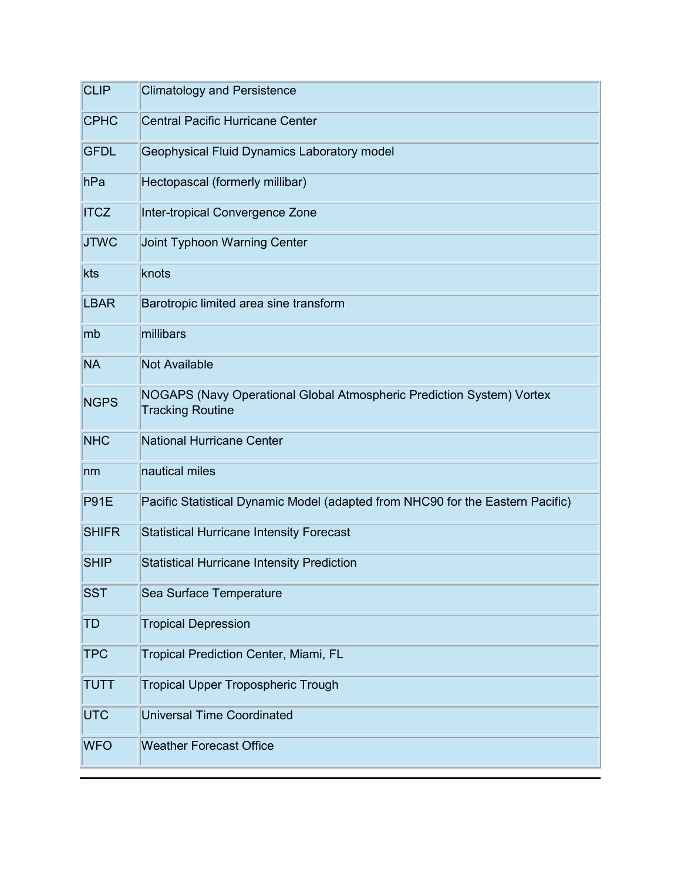| <b>CLIP</b>  | <b>Climatology and Persistence</b>                                                               |
|--------------|--------------------------------------------------------------------------------------------------|
| <b>CPHC</b>  | <b>Central Pacific Hurricane Center</b>                                                          |
| <b>GFDL</b>  | Geophysical Fluid Dynamics Laboratory model                                                      |
| hPa          | Hectopascal (formerly millibar)                                                                  |
| <b>ITCZ</b>  | Inter-tropical Convergence Zone                                                                  |
| <b>JTWC</b>  | Joint Typhoon Warning Center                                                                     |
| kts          | knots                                                                                            |
| <b>LBAR</b>  | Barotropic limited area sine transform                                                           |
| mb           | millibars                                                                                        |
| <b>NA</b>    | <b>Not Available</b>                                                                             |
| <b>NGPS</b>  | NOGAPS (Navy Operational Global Atmospheric Prediction System) Vortex<br><b>Tracking Routine</b> |
| <b>NHC</b>   | <b>National Hurricane Center</b>                                                                 |
| nm           | nautical miles                                                                                   |
| <b>P91E</b>  | Pacific Statistical Dynamic Model (adapted from NHC90 for the Eastern Pacific)                   |
| <b>SHIFR</b> | <b>Statistical Hurricane Intensity Forecast</b>                                                  |
| <b>SHIP</b>  | <b>Statistical Hurricane Intensity Prediction</b>                                                |
| <b>SST</b>   | Sea Surface Temperature                                                                          |
| <b>TD</b>    | <b>Tropical Depression</b>                                                                       |
| <b>TPC</b>   | Tropical Prediction Center, Miami, FL                                                            |
| <b>TUTT</b>  | <b>Tropical Upper Tropospheric Trough</b>                                                        |
| <b>UTC</b>   | <b>Universal Time Coordinated</b>                                                                |
| <b>WFO</b>   | <b>Weather Forecast Office</b>                                                                   |